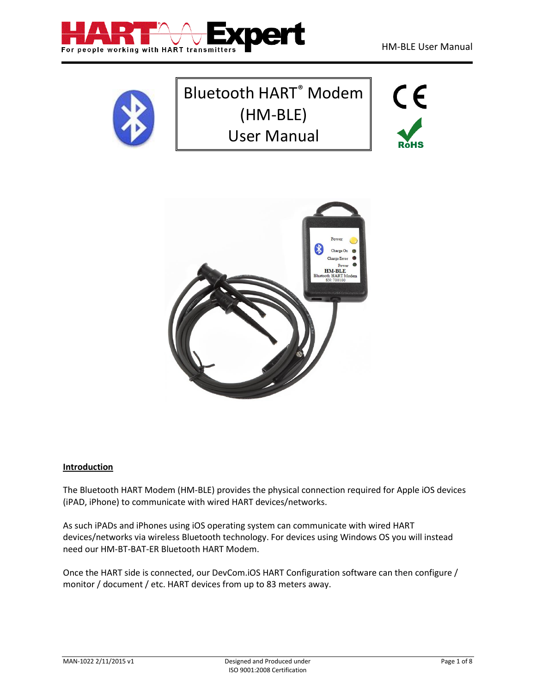



# Bluetooth HART® Modem (HM-BLE) User Manual





# <span id="page-0-0"></span>**Introduction**

The Bluetooth HART Modem (HM-BLE) provides the physical connection required for Apple iOS devices (iPAD, iPhone) to communicate with wired HART devices/networks.

As such iPADs and iPhones using iOS operating system can communicate with wired HART devices/networks via wireless Bluetooth technology. For devices using Windows OS you will instead need our HM-BT-BAT-ER Bluetooth HART Modem.

Once the HART side is connected, our DevCom.iOS HART Configuration software can then configure / monitor / document / etc. HART devices from up to 83 meters away.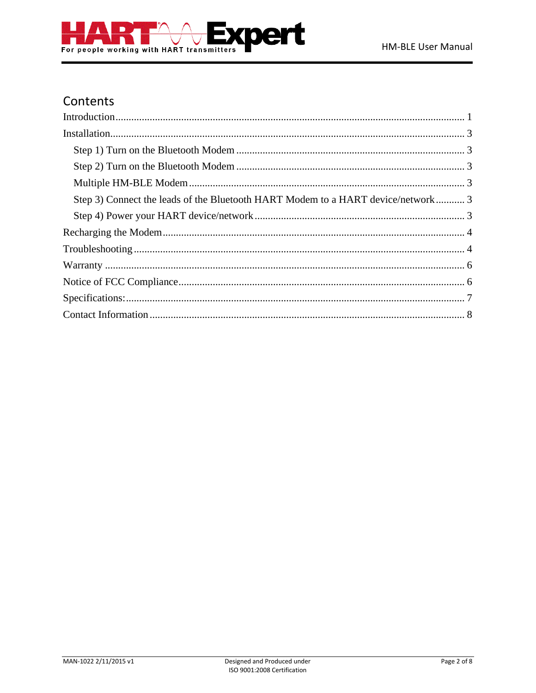



# Contents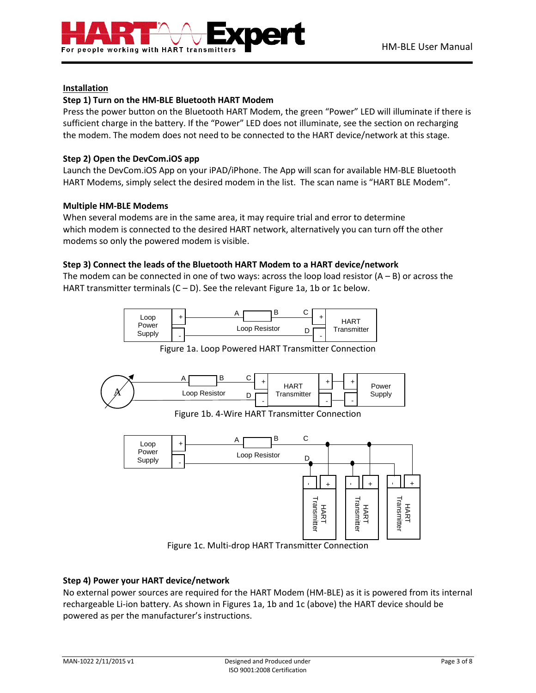

# <span id="page-2-0"></span>**Installation**

# <span id="page-2-1"></span>**Step 1) Turn on the HM-BLE Bluetooth HART Modem**

Press the power button on the Bluetooth HART Modem, the green "Power" LED will illuminate if there is sufficient charge in the battery. If the "Power" LED does not illuminate, see the section on recharging the modem. The modem does not need to be connected to the HART device/network at this stage.

# <span id="page-2-2"></span>**Step 2) Open the DevCom.iOS app**

Launch the DevCom.iOS App on your iPAD/iPhone. The App will scan for available HM-BLE Bluetooth HART Modems, simply select the desired modem in the list. The scan name is "HART BLE Modem".

### <span id="page-2-3"></span>**Multiple HM-BLE Modems**

When several modems are in the same area, it may require trial and error to determine which modem is connected to the desired HART network, alternatively you can turn off the other modems so only the powered modem is visible.

# <span id="page-2-4"></span>**Step 3) Connect the leads of the Bluetooth HART Modem to a HART device/network**

The modem can be connected in one of two ways: across the loop load resistor  $(A - B)$  or across the HART transmitter terminals  $(C - D)$ . See the relevant Figure 1a, 1b or 1c below.



Figure 1a. Loop Powered HART Transmitter Connection



Figure 1c. Multi-drop HART Transmitter Connection

# <span id="page-2-5"></span>**Step 4) Power your HART device/network**

No external power sources are required for the HART Modem (HM-BLE) as it is powered from its internal rechargeable Li-ion battery. As shown in Figures 1a, 1b and 1c (above) the HART device should be powered as per the manufacturer's instructions.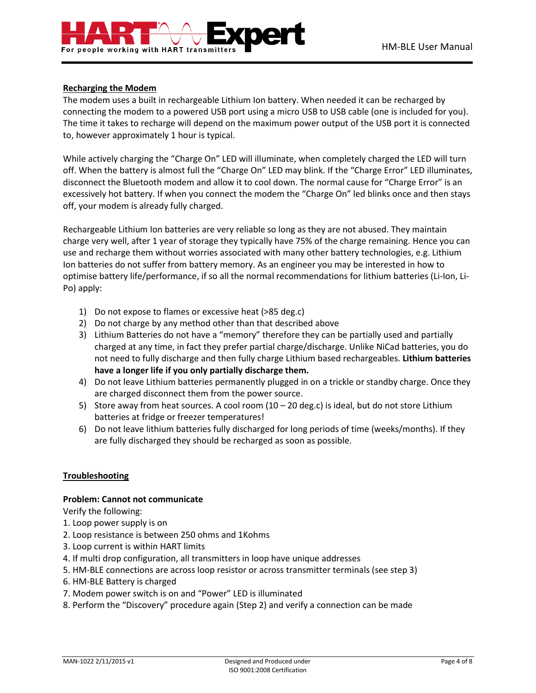

# <span id="page-3-0"></span>**Recharging the Modem**

The modem uses a built in rechargeable Lithium Ion battery. When needed it can be recharged by connecting the modem to a powered USB port using a micro USB to USB cable (one is included for you). The time it takes to recharge will depend on the maximum power output of the USB port it is connected to, however approximately 1 hour is typical.

While actively charging the "Charge On" LED will illuminate, when completely charged the LED will turn off. When the battery is almost full the "Charge On" LED may blink. If the "Charge Error" LED illuminates, disconnect the Bluetooth modem and allow it to cool down. The normal cause for "Charge Error" is an excessively hot battery. If when you connect the modem the "Charge On" led blinks once and then stays off, your modem is already fully charged.

Rechargeable Lithium Ion batteries are very reliable so long as they are not abused. They maintain charge very well, after 1 year of storage they typically have 75% of the charge remaining. Hence you can use and recharge them without worries associated with many other battery technologies, e.g. Lithium Ion batteries do not suffer from battery memory. As an engineer you may be interested in how to optimise battery life/performance, if so all the normal recommendations for lithium batteries (Li-Ion, Li-Po) apply:

- 1) Do not expose to flames or excessive heat (>85 deg.c)
- 2) Do not charge by any method other than that described above
- 3) Lithium Batteries do not have a "memory" therefore they can be partially used and partially charged at any time, in fact they prefer partial charge/discharge. Unlike NiCad batteries, you do not need to fully discharge and then fully charge Lithium based rechargeables. **Lithium batteries have a longer life if you only partially discharge them.**
- 4) Do not leave Lithium batteries permanently plugged in on a trickle or standby charge. Once they are charged disconnect them from the power source.
- 5) Store away from heat sources. A cool room (10 20 deg.c) is ideal, but do not store Lithium batteries at fridge or freezer temperatures!
- 6) Do not leave lithium batteries fully discharged for long periods of time (weeks/months). If they are fully discharged they should be recharged as soon as possible.

#### <span id="page-3-1"></span>**Troubleshooting**

#### **Problem: Cannot not communicate**

Verify the following:

- 1. Loop power supply is on
- 2. Loop resistance is between 250 ohms and 1Kohms
- 3. Loop current is within HART limits
- 4. If multi drop configuration, all transmitters in loop have unique addresses
- 5. HM-BLE connections are across loop resistor or across transmitter terminals (see step 3)
- 6. HM-BLE Battery is charged
- 7. Modem power switch is on and "Power" LED is illuminated
- 8. Perform the "Discovery" procedure again (Step 2) and verify a connection can be made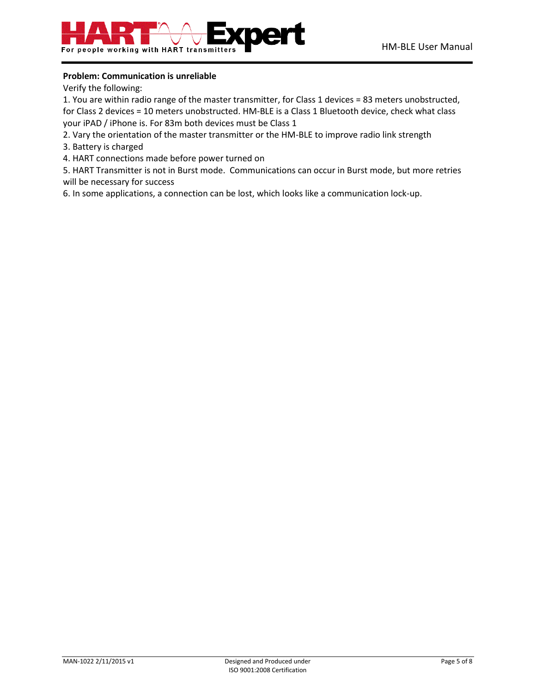# **Problem: Communication is unreliable**

Verify the following:

1. You are within radio range of the master transmitter, for Class 1 devices = 83 meters unobstructed, for Class 2 devices = 10 meters unobstructed. HM-BLE is a Class 1 Bluetooth device, check what class your iPAD / iPhone is. For 83m both devices must be Class 1

- 2. Vary the orientation of the master transmitter or the HM-BLE to improve radio link strength
- 3. Battery is charged
- 4. HART connections made before power turned on

5. HART Transmitter is not in Burst mode. Communications can occur in Burst mode, but more retries will be necessary for success

6. In some applications, a connection can be lost, which looks like a communication lock-up.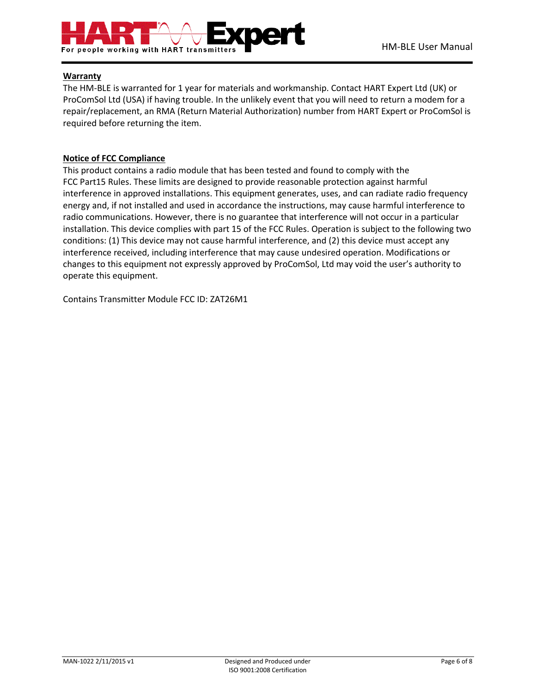

# <span id="page-5-0"></span>**Warranty**

The HM-BLE is warranted for 1 year for materials and workmanship. Contact HART Expert Ltd (UK) or ProComSol Ltd (USA) if having trouble. In the unlikely event that you will need to return a modem for a repair/replacement, an RMA (Return Material Authorization) number from HART Expert or ProComSol is required before returning the item.

# <span id="page-5-1"></span>**Notice of FCC Compliance**

This product contains a radio module that has been tested and found to comply with the FCC Part15 Rules. These limits are designed to provide reasonable protection against harmful interference in approved installations. This equipment generates, uses, and can radiate radio frequency energy and, if not installed and used in accordance the instructions, may cause harmful interference to radio communications. However, there is no guarantee that interference will not occur in a particular installation. This device complies with part 15 of the FCC Rules. Operation is subject to the following two conditions: (1) This device may not cause harmful interference, and (2) this device must accept any interference received, including interference that may cause undesired operation. Modifications or changes to this equipment not expressly approved by ProComSol, Ltd may void the user's authority to operate this equipment.

Contains Transmitter Module FCC ID: ZAT26M1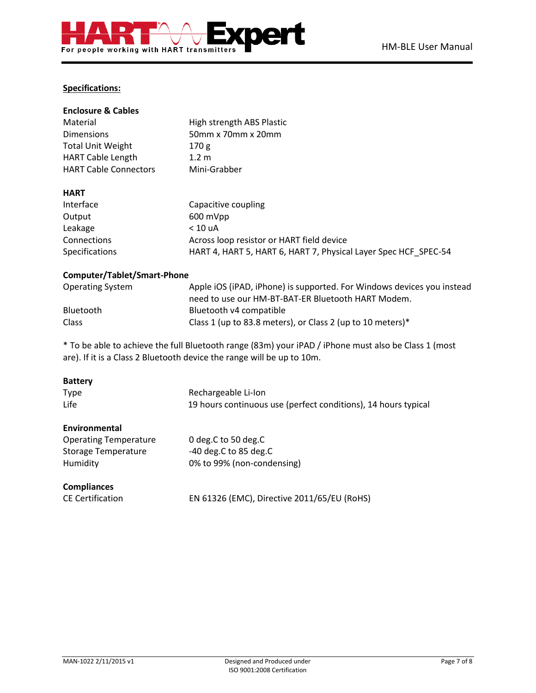# <span id="page-6-0"></span>**Specifications:**

| <b>Enclosure &amp; Cables</b> |                                                                 |
|-------------------------------|-----------------------------------------------------------------|
| Material                      | High strength ABS Plastic                                       |
| <b>Dimensions</b>             | 50mm x 70mm x 20mm                                              |
| <b>Total Unit Weight</b>      | 170 g                                                           |
| <b>HART Cable Length</b>      | 1.2 <sub>m</sub>                                                |
| <b>HART Cable Connectors</b>  | Mini-Grabber                                                    |
|                               |                                                                 |
| <b>HART</b>                   |                                                                 |
| Interface                     | Capacitive coupling                                             |
| Output                        | 600 mVpp                                                        |
| Leakage                       | < 10 uA                                                         |
| Connections                   | Across loop resistor or HART field device                       |
| <b>Specifications</b>         | HART 4, HART 5, HART 6, HART 7, Physical Layer Spec HCF SPEC-54 |
|                               |                                                                 |

# **Computer/Tablet/Smart-Phone**

| <b>Operating System</b> | Apple iOS (iPAD, iPhone) is supported. For Windows devices you instead |
|-------------------------|------------------------------------------------------------------------|
|                         | need to use our HM-BT-BAT-ER Bluetooth HART Modem.                     |
| <b>Bluetooth</b>        | Bluetooth v4 compatible                                                |
| <b>Class</b>            | Class 1 (up to 83.8 meters), or Class 2 (up to 10 meters)*             |

\* To be able to achieve the full Bluetooth range (83m) your iPAD / iPhone must also be Class 1 (most are). If it is a Class 2 Bluetooth device the range will be up to 10m.

| <b>Battery</b>               |                                                                |
|------------------------------|----------------------------------------------------------------|
| Type                         | Rechargeable Li-Ion                                            |
| Life                         | 19 hours continuous use (perfect conditions), 14 hours typical |
| <b>Environmental</b>         |                                                                |
| <b>Operating Temperature</b> | 0 deg.C to 50 deg.C                                            |
| Storage Temperature          | $-40$ deg.C to 85 deg.C                                        |
| Humidity                     | 0% to 99% (non-condensing)                                     |
| <b>Compliances</b>           |                                                                |
| <b>CE Certification</b>      | EN 61326 (EMC), Directive 2011/65/EU (RoHS)                    |